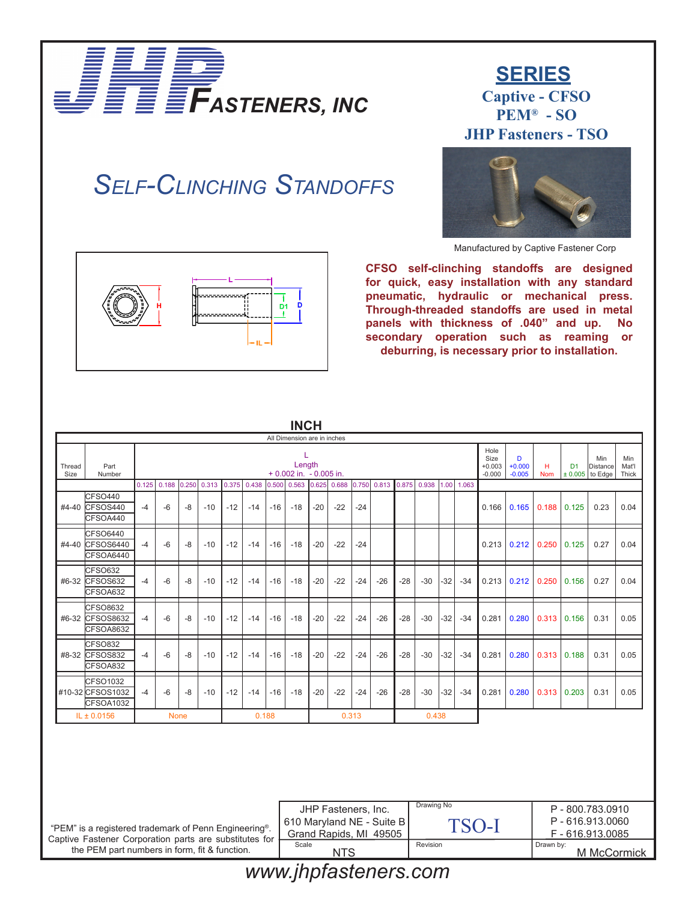

### **Captive - CFSO PEM® - SO JHP Fasteners - TSO SERIES**

# *Self-Clinching Standoffs*



Manufactured by Captive Fastener Corp



**CFSO self-clinching standoffs are designed for quick, easy installation with any standard pneumatic, hydraulic or mechanical press. Through-threaded standoffs are used in metal panels with thickness of .040" and up. No secondary operation such as reaming or deburring, is necessary prior to installation.**

|                            | IIVUII<br>All Dimension are in inches        |      |                                                                                                |      |       |       |       |       |       |       |       |       |       |                                      |                           |                 |                |                                        |                       |       |       |      |      |
|----------------------------|----------------------------------------------|------|------------------------------------------------------------------------------------------------|------|-------|-------|-------|-------|-------|-------|-------|-------|-------|--------------------------------------|---------------------------|-----------------|----------------|----------------------------------------|-----------------------|-------|-------|------|------|
| Thread<br>Size             | Part<br>Number                               |      | L<br>Length<br>$+0.002$ in. $-0.005$ in.                                                       |      |       |       |       |       |       |       |       |       |       | Hole<br>Size<br>$+0.003$<br>$-0.000$ | D<br>$+0.000$<br>$-0.005$ | н<br><b>Nom</b> | D <sub>1</sub> | Min<br>Distance<br>$\pm 0.005$ to Edge | Min<br>Mat'l<br>Thick |       |       |      |      |
|                            |                                              |      | 0.125 0.188 0.250 0.313 0.375 0.438 0.500 0.563 0.625 0.688 0.750 0.813 0.875 0.938 1.00 1.063 |      |       |       |       |       |       |       |       |       |       |                                      |                           |                 |                |                                        |                       |       |       |      |      |
|                            | CFSO440<br>#4-40 CFSOS440<br>CFSOA440        | $-4$ | $-6$                                                                                           | $-8$ | $-10$ | $-12$ | $-14$ | $-16$ | $-18$ | $-20$ | $-22$ | $-24$ |       |                                      |                           |                 |                | 0.166                                  | 0.165                 | 0.188 | 0.125 | 0.23 | 0.04 |
|                            | CFSO6440<br>#4-40 CFSOS6440<br>CFSOA6440     | $-4$ | $-6$                                                                                           | $-8$ | $-10$ | $-12$ | $-14$ | $-16$ | $-18$ | $-20$ | $-22$ | $-24$ |       |                                      |                           |                 |                | 0.213                                  | 0.212                 | 0.250 | 0.125 | 0.27 | 0.04 |
|                            | <b>CFSO632</b><br>#6-32 CFSOS632<br>CFSOA632 | $-4$ | $-6$                                                                                           | -8   | $-10$ | $-12$ | $-14$ | $-16$ | $-18$ | $-20$ | $-22$ | $-24$ | $-26$ | $-28$                                | $-30$                     | $-32$           | $-34$          |                                        | 0.213   0.212         | 0.250 | 0.156 | 0.27 | 0.04 |
|                            | CFSO8632<br>#6-32 CFSOS8632<br>CFSOA8632     | $-4$ | $-6$                                                                                           | $-8$ | $-10$ | $-12$ | $-14$ | $-16$ | $-18$ | $-20$ | $-22$ | $-24$ | $-26$ | $-28$                                | $-30$                     | $-32$           | $-34$          | 0.281                                  | 0.280                 | 0.313 | 0.156 | 0.31 | 0.05 |
|                            | <b>CFSO832</b><br>#8-32 CFSOS832<br>CFSOA832 | -4   | $-6$                                                                                           | $-8$ | $-10$ | $-12$ | $-14$ | $-16$ | $-18$ | $-20$ | $-22$ | $-24$ | $-26$ | $-28$                                | -30                       | $-32$           | $-34$          | 0.281                                  | 0.280                 | 0.313 | 0.188 | 0.31 | 0.05 |
|                            | CFSO1032<br>#10-32 CFSOS1032<br>CFSOA1032    | -4   | $-6$                                                                                           | $-8$ | $-10$ | $-12$ | $-14$ | $-16$ | $-18$ | $-20$ | $-22$ | $-24$ | $-26$ | $-28$                                | $-30$                     | $-32$           | $-34$          | 0.281                                  | 0.280                 | 0.313 | 0.203 | 0.31 | 0.05 |
| IL ± 0.0156<br><b>None</b> |                                              |      |                                                                                                |      | 0.188 |       |       |       | 0.313 |       |       |       | 0.438 |                                      |                           |                 |                |                                        |                       |       |       |      |      |
|                            |                                              |      |                                                                                                |      |       |       |       |       |       |       |       |       |       |                                      |                           |                 |                |                                        |                       |       |       |      |      |

**INCH**

| "PEM" is a registered trademark of Penn Engineering <sup>®</sup> .<br>Captive Fastener Corporation parts are substitutes for | JHP Fasteners, Inc.<br>610 Marvland NE - Suite B I<br>Grand Rapids, MI 49505 | Drawing No<br>TSO-I | P-800.783.0910<br>P-616.913.0060<br>F-616.913.0085 |
|------------------------------------------------------------------------------------------------------------------------------|------------------------------------------------------------------------------|---------------------|----------------------------------------------------|
| the PEM part numbers in form, fit & function.                                                                                | Scale<br>NTS                                                                 | Revision            | , Drawn by:<br>M McCormick                         |

### *www.jhpfasteners.com*